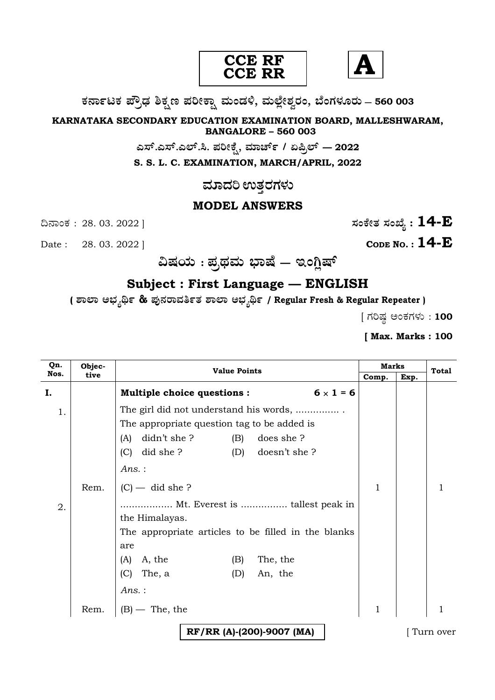



**O⁄´¤%lO⁄ ÆË√v⁄ ÃO⁄–y Æ⁄¬fiO¤– »⁄flMs⁄ÿ, »⁄fl≈Ê«fiÀ⁄ ¡⁄M, ∑ÊMV⁄◊⁄‡¡⁄fl — 560 003** 

**KARNATAKA SECONDARY EDUCATION EXAMINATION BOARD, MALLESHWARAM, BANGALORE – 560 003** 

> **G—È.G—È.G≈È.". Æ⁄¬fiOÊ⁄–, »⁄·¤^È% / HØ√≈È — 2022 S. S. L. C. EXAMINATION, MARCH/APRIL, 2022**

> > <u>ಮಾದರಿ ಉತ್ತರಗಳು</u>

### **MODEL ANSWERS**

Date : 28. 03. 2022 ] **CODE NO. : 14-E** 

ದಿನಾಂಕ : 28. 03. 2022 ]  $\vec{B}$ 

**…Œ⁄æ⁄fl : Æ⁄√¢⁄»⁄fl ∫¤ŒÊ — BMW«ŒÈ**

# **Subject : First Language — ENGLISH**

**( À¤≈¤ @∫⁄¥¿£% & Æ⁄'¥´⁄¡¤»⁄~%}⁄ À¤≈¤ @∫⁄¥¿£% / Regular Fresh & Regular Repeater )**

 $[$  ಗರಿಷ್ಣ ಅಂಕಗಳು : 100

**[ Max. Marks : 100**

| Qn.<br>Nos. | Objec- | <b>Value Points</b>                                   |              | <b>Marks</b> | <b>Total</b> |
|-------------|--------|-------------------------------------------------------|--------------|--------------|--------------|
|             | tive   |                                                       | Comp.        | Exp.         |              |
| I.          |        | <b>Multiple choice questions:</b><br>$6 \times 1 = 6$ |              |              |              |
| 1.          |        | The girl did not understand his words,                |              |              |              |
|             |        | The appropriate question tag to be added is           |              |              |              |
|             |        | didn't she ?<br>does she ?<br>(B)<br>(A)              |              |              |              |
|             |        | $(C)$ did she ?<br>(D) doesn't she ?                  |              |              |              |
|             |        | Ans. :                                                |              |              |              |
|             | Rem.   | $(C)$ — did she ?                                     | 1            |              |              |
| 2.          |        | Mt. Everest is  tallest peak in                       |              |              |              |
|             |        | the Himalayas.                                        |              |              |              |
|             |        | The appropriate articles to be filled in the blanks   |              |              |              |
|             |        | are                                                   |              |              |              |
|             |        | The, the<br>A, the<br>(A)<br>(B)                      |              |              |              |
|             |        | (C)<br>The, a<br>An, the<br>(D)                       |              |              |              |
|             |        | Ans. :                                                |              |              |              |
|             | Rem.   | $(B)$ — The, the                                      | $\mathbf{1}$ |              |              |
|             |        | RF/RR (A)-(200)-9007 (MA)                             |              |              | Turn over    |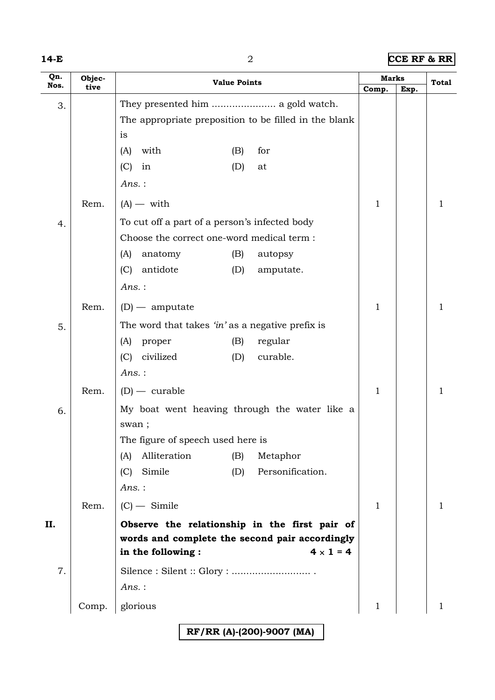|--|--|--|

#### **14-E** 2 **CCE RF & RR**

| Qn.<br>Nos. | Objec- | <b>Value Points</b>                                         |            | <b>Marks</b>                 |              | Total |   |
|-------------|--------|-------------------------------------------------------------|------------|------------------------------|--------------|-------|---|
|             | tive   |                                                             |            |                              | Comp.        | Exp.  |   |
| 3.          |        |                                                             |            |                              |              |       |   |
|             |        | The appropriate preposition to be filled in the blank<br>is |            |                              |              |       |   |
|             |        | with<br>(A)                                                 | (B)        | for                          |              |       |   |
|             |        | (C)<br>in                                                   | (D)        | at                           |              |       |   |
|             |        | $Ans.$ :                                                    |            |                              |              |       |   |
|             | Rem.   | $(A)$ — with                                                |            |                              | $\mathbf{1}$ |       | 1 |
| 4.          |        | To cut off a part of a person's infected body               |            |                              |              |       |   |
|             |        | Choose the correct one-word medical term:                   |            |                              |              |       |   |
|             |        | (A)<br>anatomy                                              | (B)        | autopsy                      |              |       |   |
|             |        | (C)<br>antidote                                             | (D)        | amputate.                    |              |       |   |
|             |        | $Ans.$ :                                                    |            |                              |              |       |   |
|             | Rem.   | $(D)$ - amputate                                            |            |                              | $\mathbf{1}$ |       | 1 |
| 5.          |        | The word that takes 'in' as a negative prefix is            |            |                              |              |       |   |
|             |        | proper<br>(A)                                               | (B)        | regular                      |              |       |   |
|             |        | civilized<br>(C)                                            | (D)        | curable.                     |              |       |   |
|             |        | $Ans.$ :                                                    |            |                              |              |       |   |
|             | Rem.   | $(D)$ - curable                                             |            |                              | $\mathbf{1}$ |       | 1 |
| 6.          |        | My boat went heaving through the water like a               |            |                              |              |       |   |
|             |        | swan;                                                       |            |                              |              |       |   |
|             |        | The figure of speech used here is                           |            |                              |              |       |   |
|             |        | Alliteration<br>(A)<br>Simile<br>(C)                        | (B)<br>(D) | Metaphor<br>Personification. |              |       |   |
|             |        | $Ans.$ :                                                    |            |                              |              |       |   |
|             | Rem.   | $(C)$ - Simile                                              |            |                              | $\mathbf{1}$ |       | 1 |
| II.         |        | Observe the relationship in the first pair of               |            |                              |              |       |   |
|             |        | words and complete the second pair accordingly              |            |                              |              |       |   |
|             |        | in the following :                                          |            | $4 \times 1 = 4$             |              |       |   |
| 7.          |        |                                                             |            |                              |              |       |   |
|             |        | $Ans.$ :                                                    |            |                              |              |       |   |
|             | Comp.  | glorious                                                    |            |                              | $\mathbf{1}$ |       | 1 |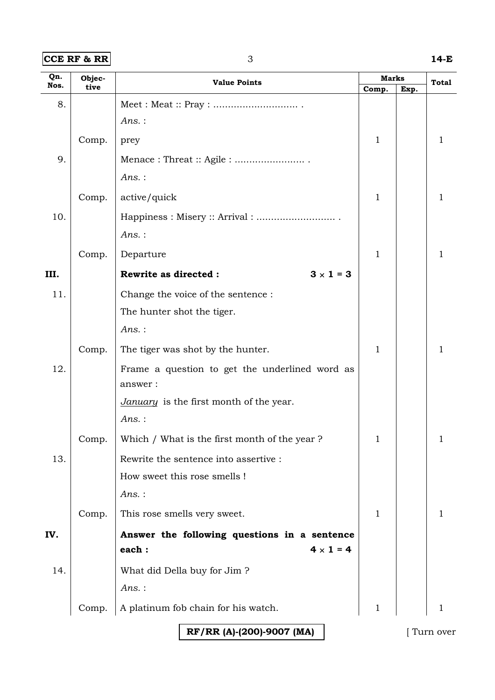#### **CCE RF & RR** 3 **14-E**

| Qn.<br>Nos. | Objec-<br>tive | <b>Value Points</b>                                       | <b>Marks</b> |      | <b>Total</b> |
|-------------|----------------|-----------------------------------------------------------|--------------|------|--------------|
| 8.          |                |                                                           | Comp.        | Exp. |              |
|             |                | Ans.:                                                     |              |      |              |
|             | Comp.          | prey                                                      | 1            |      | 1            |
| 9.          |                |                                                           |              |      |              |
|             |                | Ans.:                                                     |              |      |              |
|             | Comp.          | active/quick                                              | $\mathbf{1}$ |      | 1            |
| 10.         |                |                                                           |              |      |              |
|             |                | $Ans.$ :                                                  |              |      |              |
|             | Comp.          | Departure                                                 | $\mathbf{1}$ |      | 1            |
| III.        |                | Rewrite as directed :<br>$3 \times 1 = 3$                 |              |      |              |
| 11.         |                | Change the voice of the sentence :                        |              |      |              |
|             |                | The hunter shot the tiger.                                |              |      |              |
|             |                | Ans.:                                                     |              |      |              |
|             | Comp.          | The tiger was shot by the hunter.                         | $\mathbf{1}$ |      | 1            |
| 12.         |                | Frame a question to get the underlined word as<br>answer: |              |      |              |
|             |                | January is the first month of the year.                   |              |      |              |
|             |                | Ans.:                                                     |              |      |              |
|             | Comp.          | Which / What is the first month of the year?              | 1            |      |              |
| 13.         |                | Rewrite the sentence into assertive :                     |              |      |              |
|             |                | How sweet this rose smells !                              |              |      |              |
|             |                | $Ans.$ :                                                  |              |      |              |
|             | Comp.          | This rose smells very sweet.                              | 1            |      | 1            |
| IV.         |                | Answer the following questions in a sentence              |              |      |              |
|             |                | $4 \times 1 = 4$<br>each:                                 |              |      |              |
| 14.         |                | What did Della buy for Jim ?                              |              |      |              |
|             |                | $Ans.$ :                                                  |              |      |              |
|             | Comp.          | A platinum fob chain for his watch.                       | $\mathbf{1}$ |      | 1            |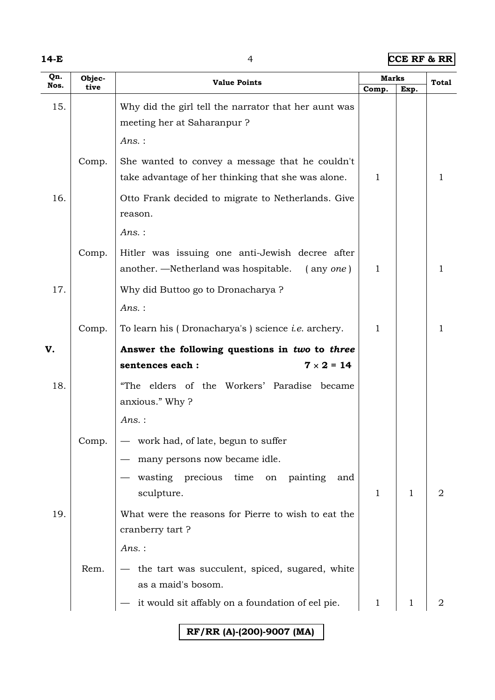|--|--|--|

**14-E** 4 **CCE RF & RR**

| Qn.  | Objec- | <b>Value Points</b>                                                                                               |       | <b>Marks</b> | <b>Total</b> |
|------|--------|-------------------------------------------------------------------------------------------------------------------|-------|--------------|--------------|
| Nos. | tive   |                                                                                                                   | Comp. | Exp.         |              |
| 15.  |        | Why did the girl tell the narrator that her aunt was<br>meeting her at Saharanpur ?                               |       |              |              |
|      |        | $Ans.$ :                                                                                                          |       |              |              |
|      | Comp.  | She wanted to convey a message that he couldn't                                                                   |       |              |              |
|      |        | take advantage of her thinking that she was alone.                                                                | 1     |              | 1.           |
| 16.  |        | Otto Frank decided to migrate to Netherlands. Give<br>reason.                                                     |       |              |              |
|      |        | Ans.:                                                                                                             |       |              |              |
|      | Comp.  | Hitler was issuing one anti-Jewish decree after<br>another. —Netherland was hospitable.<br>$($ any <i>one</i> $)$ | 1     |              | 1            |
| 17.  |        | Why did Buttoo go to Dronacharya?                                                                                 |       |              |              |
|      |        | $Ans.$ :                                                                                                          |       |              |              |
|      | Comp.  | To learn his (Dronacharya's) science <i>i.e.</i> archery.                                                         | 1     |              | 1            |
| V.   |        | Answer the following questions in two to three                                                                    |       |              |              |
|      |        | $7 \times 2 = 14$<br>sentences each :                                                                             |       |              |              |
| 18.  |        | "The elders of the Workers' Paradise became<br>anxious." Why?                                                     |       |              |              |
|      |        | $Ans.$ :                                                                                                          |       |              |              |
|      | Comp.  | work had, of late, begun to suffer                                                                                |       |              |              |
|      |        | many persons now became idle.                                                                                     |       |              |              |
|      |        | wasting precious time<br>on painting<br>and<br>sculpture.                                                         | 1     | 1            | 2            |
| 19.  |        | What were the reasons for Pierre to wish to eat the                                                               |       |              |              |
|      |        | cranberry tart?                                                                                                   |       |              |              |
|      |        | $Ans.$ :                                                                                                          |       |              |              |
|      | Rem.   | - the tart was succulent, spiced, sugared, white                                                                  |       |              |              |
|      |        | as a maid's bosom.                                                                                                |       |              |              |
|      |        | it would sit affably on a foundation of eel pie.                                                                  | 1     | 1            |              |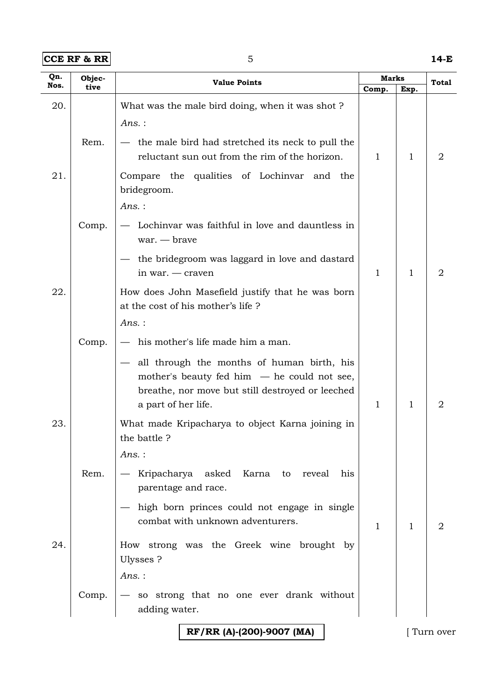**CCE RF & RR** 5 **14-E** 

| Qn.  | Objec- | <b>Value Points</b>                                                                                                                                                    |              | Marks        | Total          |
|------|--------|------------------------------------------------------------------------------------------------------------------------------------------------------------------------|--------------|--------------|----------------|
| Nos. | tive   |                                                                                                                                                                        | Comp.        | Exp.         |                |
| 20.  |        | What was the male bird doing, when it was shot?<br>$Ans.$ :                                                                                                            |              |              |                |
|      | Rem.   | - the male bird had stretched its neck to pull the<br>reluctant sun out from the rim of the horizon.                                                                   | 1            | 1            | 2              |
| 21.  |        | Compare the qualities of Lochinvar and the<br>bridegroom.                                                                                                              |              |              |                |
|      |        | Ans.:                                                                                                                                                                  |              |              |                |
|      | Comp.  | Lochinvar was faithful in love and dauntless in<br>$war. - brave$                                                                                                      |              |              |                |
|      |        | the bridegroom was laggard in love and dastard<br>in war. — craven                                                                                                     | 1            | 1            | 2              |
| 22.  |        | How does John Masefield justify that he was born<br>at the cost of his mother's life?                                                                                  |              |              |                |
|      |        | $Ans.$ :                                                                                                                                                               |              |              |                |
|      | Comp.  | - his mother's life made him a man.                                                                                                                                    |              |              |                |
|      |        | all through the months of human birth, his<br>mother's beauty fed him $-$ he could not see,<br>breathe, nor move but still destroyed or leeched<br>a part of her life. | $\mathbf{1}$ | 1            | $\overline{2}$ |
| 23.  |        | What made Kripacharya to object Karna joining in<br>the battle?                                                                                                        |              |              |                |
|      |        | Ans.:                                                                                                                                                                  |              |              |                |
|      | Rem.   | Kripacharya asked Karna to reveal<br>his<br>parentage and race.                                                                                                        |              |              |                |
|      |        | - high born princes could not engage in single<br>combat with unknown adventurers.                                                                                     | $\mathbf{1}$ | $\mathbf{1}$ | $\overline{2}$ |
| 24.  |        | How strong was the Greek wine brought by<br>Ulysses ?                                                                                                                  |              |              |                |
|      |        | $Ans.$ :                                                                                                                                                               |              |              |                |
|      | Comp.  | so strong that no one ever drank without<br>adding water.                                                                                                              |              |              |                |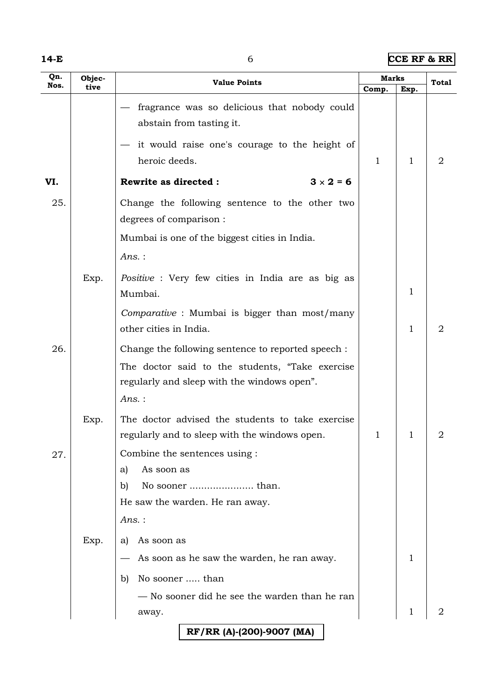|--|--|--|

**14-E** 6 **CCE RF & RR**

| Qn.  | Objec- | <b>Value Points</b>                                |       | <b>Marks</b> |       |
|------|--------|----------------------------------------------------|-------|--------------|-------|
| Nos. | tive   |                                                    | Comp. | Exp.         | Total |
|      |        | fragrance was so delicious that nobody could       |       |              |       |
|      |        | abstain from tasting it.                           |       |              |       |
|      |        | it would raise one's courage to the height of      |       |              |       |
|      |        | heroic deeds.                                      | 1     | $\mathbf{1}$ | 2     |
| VI.  |        | $3 \times 2 = 6$<br><b>Rewrite as directed:</b>    |       |              |       |
| 25.  |        | Change the following sentence to the other two     |       |              |       |
|      |        | degrees of comparison :                            |       |              |       |
|      |        | Mumbai is one of the biggest cities in India.      |       |              |       |
|      |        | Ans.:                                              |       |              |       |
|      | Exp.   | Positive : Very few cities in India are as big as  |       |              |       |
|      |        | Mumbai.                                            |       | $\mathbf{1}$ |       |
|      |        | Comparative : Mumbai is bigger than most/many      |       |              |       |
|      |        | other cities in India.                             |       | 1            | 2     |
| 26.  |        | Change the following sentence to reported speech : |       |              |       |
|      |        | The doctor said to the students, "Take exercise    |       |              |       |
|      |        | regularly and sleep with the windows open".        |       |              |       |
|      |        | $Ans.$ :                                           |       |              |       |
|      | Exp.   | The doctor advised the students to take exercise   |       |              |       |
|      |        | regularly and to sleep with the windows open.      | 1     | 1            | 2     |
| 27.  |        | Combine the sentences using :                      |       |              |       |
|      |        | As soon as<br>a)                                   |       |              |       |
|      |        | b)                                                 |       |              |       |
|      |        | He saw the warden. He ran away.                    |       |              |       |
|      |        | Ans.:                                              |       |              |       |
|      | Exp.   | As soon as<br>a)                                   |       |              |       |
|      |        | As soon as he saw the warden, he ran away.         |       | 1            |       |
|      |        | No sooner  than<br>b)                              |       |              |       |
|      |        | — No sooner did he see the warden than he ran      |       |              |       |
|      |        | away.                                              |       | 1            | 2     |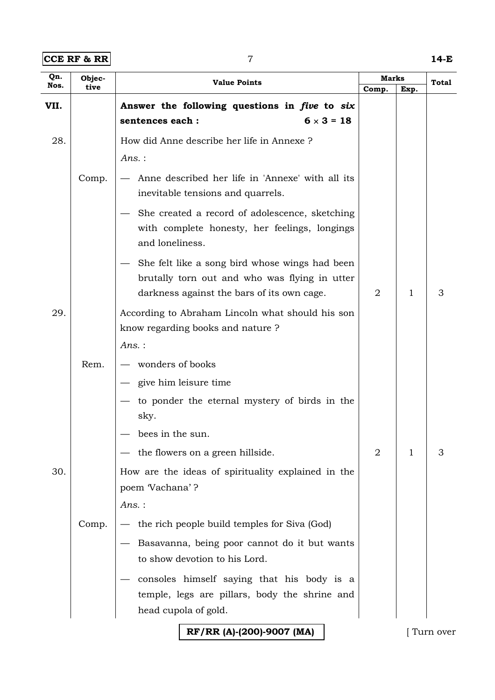**CCE RF & RR** 7 **14-E** 

| Qn.<br>Nos. | Objec- | <b>Value Points</b>                                                                                                                           |       | <b>Marks</b> | Total |
|-------------|--------|-----------------------------------------------------------------------------------------------------------------------------------------------|-------|--------------|-------|
|             | tive   |                                                                                                                                               | Comp. | Exp.         |       |
| VII.        |        | Answer the following questions in five to six                                                                                                 |       |              |       |
|             |        | $6 \times 3 = 18$<br>sentences each :                                                                                                         |       |              |       |
| 28.         |        | How did Anne describe her life in Annexe?                                                                                                     |       |              |       |
|             |        | Ans.:                                                                                                                                         |       |              |       |
|             | Comp.  | Anne described her life in 'Annexe' with all its<br>inevitable tensions and quarrels.                                                         |       |              |       |
|             |        | She created a record of adolescence, sketching<br>with complete honesty, her feelings, longings<br>and loneliness.                            |       |              |       |
|             |        | She felt like a song bird whose wings had been<br>brutally torn out and who was flying in utter<br>darkness against the bars of its own cage. | 2     | 1            | 3     |
| 29.         |        | According to Abraham Lincoln what should his son<br>know regarding books and nature?                                                          |       |              |       |
|             |        | Ans.:                                                                                                                                         |       |              |       |
|             | Rem.   | wonders of books                                                                                                                              |       |              |       |
|             |        | give him leisure time                                                                                                                         |       |              |       |
|             |        | to ponder the eternal mystery of birds in the<br>sky.                                                                                         |       |              |       |
|             |        | bees in the sun.                                                                                                                              |       |              |       |
|             |        | the flowers on a green hillside.                                                                                                              | 2     | 1            | 3     |
| 30.         |        | How are the ideas of spirituality explained in the                                                                                            |       |              |       |
|             |        | poem Vachana'?                                                                                                                                |       |              |       |
|             |        | $Ans.$ :                                                                                                                                      |       |              |       |
|             | Comp.  | the rich people build temples for Siva (God)                                                                                                  |       |              |       |
|             |        | Basavanna, being poor cannot do it but wants                                                                                                  |       |              |       |
|             |        | to show devotion to his Lord.                                                                                                                 |       |              |       |
|             |        | consoles himself saying that his body is a                                                                                                    |       |              |       |
|             |        | temple, legs are pillars, body the shrine and                                                                                                 |       |              |       |
|             |        | head cupola of gold.                                                                                                                          |       |              |       |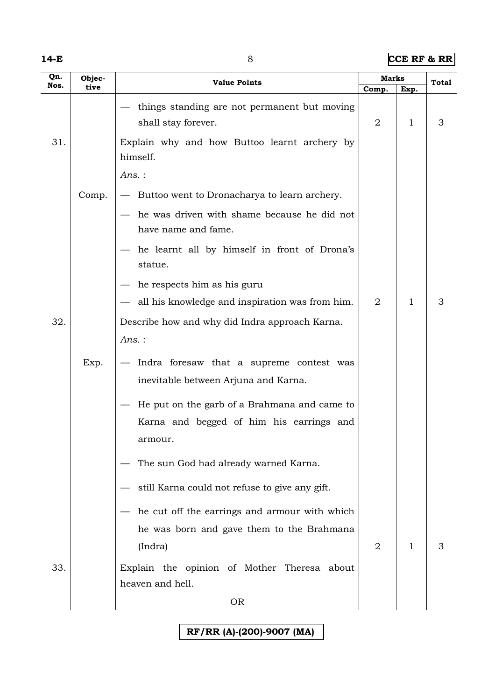|--|--|--|

#### **14-E** 8 **CCE RF & RR**

| Qn.  | Objec- | <b>Value Points</b>                                                              |                | <b>Marks</b> |       |
|------|--------|----------------------------------------------------------------------------------|----------------|--------------|-------|
| Nos. | tive   |                                                                                  | Comp.          | Exp.         | Total |
|      |        | things standing are not permanent but moving<br>shall stay forever.              | 2              | 1            | 3     |
| 31.  |        | Explain why and how Buttoo learnt archery by<br>himself.                         |                |              |       |
|      |        | $Ans.$ :                                                                         |                |              |       |
|      | Comp.  | Buttoo went to Dronacharya to learn archery.                                     |                |              |       |
|      |        | he was driven with shame because he did not<br>have name and fame.               |                |              |       |
|      |        | he learnt all by himself in front of Drona's<br>statue.                          |                |              |       |
|      |        | he respects him as his guru                                                      |                |              |       |
|      |        | all his knowledge and inspiration was from him.                                  | $\overline{2}$ | 1            | 3     |
| 32.  |        | Describe how and why did Indra approach Karna.                                   |                |              |       |
|      |        | $Ans.$ :                                                                         |                |              |       |
|      | Exp.   | Indra foresaw that a supreme contest was<br>inevitable between Arjuna and Karna. |                |              |       |
|      |        | He put on the garb of a Brahmana and came to                                     |                |              |       |
|      |        | Karna and begged of him his earrings and<br>armour.                              |                |              |       |
|      |        | The sun God had already warned Karna.                                            |                |              |       |
|      |        | still Karna could not refuse to give any gift.                                   |                |              |       |
|      |        | he cut off the earrings and armour with which                                    |                |              |       |
|      |        | he was born and gave them to the Brahmana                                        |                |              |       |
|      |        | (Indra)                                                                          | $\overline{2}$ | $\mathbf{1}$ | 3     |
| 33.  |        | Explain the opinion of Mother Theresa about<br>heaven and hell.                  |                |              |       |
|      |        | <b>OR</b>                                                                        |                |              |       |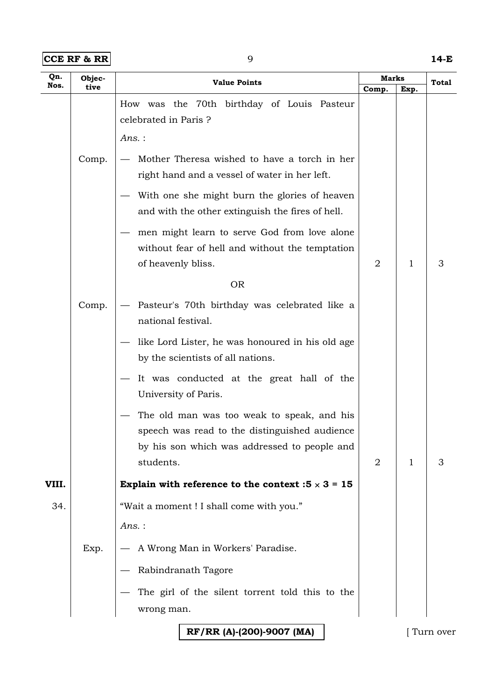| $ CCE$ RF & RR $ $ | 14-E |
|--------------------|------|
|                    |      |

| Qn.   | Objec- | <b>Value Points</b>                                                                                                                                                                                                                                                                                                         | Marks |      | Total |  |
|-------|--------|-----------------------------------------------------------------------------------------------------------------------------------------------------------------------------------------------------------------------------------------------------------------------------------------------------------------------------|-------|------|-------|--|
| Nos.  | tive   |                                                                                                                                                                                                                                                                                                                             | Comp. | Exp. |       |  |
|       |        | How was the 70th birthday of Louis Pasteur<br>celebrated in Paris ?<br>Ans.:                                                                                                                                                                                                                                                |       |      |       |  |
|       | Comp.  | Mother Theresa wished to have a torch in her<br>right hand and a vessel of water in her left.<br>With one she might burn the glories of heaven<br>and with the other extinguish the fires of hell.<br>men might learn to serve God from love alone<br>without fear of hell and without the temptation<br>of heavenly bliss. | 2     | 1    | 3     |  |
|       |        | <b>OR</b>                                                                                                                                                                                                                                                                                                                   |       |      |       |  |
|       | Comp.  | Pasteur's 70th birthday was celebrated like a<br>national festival.                                                                                                                                                                                                                                                         |       |      |       |  |
|       |        | like Lord Lister, he was honoured in his old age<br>by the scientists of all nations.                                                                                                                                                                                                                                       |       |      |       |  |
|       |        | It was conducted at the great hall of the<br>University of Paris.                                                                                                                                                                                                                                                           |       |      |       |  |
|       |        | The old man was too weak to speak, and his<br>speech was read to the distinguished audience<br>by his son which was addressed to people and<br>students.                                                                                                                                                                    | 2     | 1    | 3     |  |
| VIII. |        | Explain with reference to the context : $5 \times 3 = 15$                                                                                                                                                                                                                                                                   |       |      |       |  |
| 34.   |        | "Wait a moment ! I shall come with you."                                                                                                                                                                                                                                                                                    |       |      |       |  |
|       |        | Ans.:                                                                                                                                                                                                                                                                                                                       |       |      |       |  |
|       | Exp.   | A Wrong Man in Workers' Paradise.                                                                                                                                                                                                                                                                                           |       |      |       |  |
|       |        | Rabindranath Tagore                                                                                                                                                                                                                                                                                                         |       |      |       |  |
|       |        | The girl of the silent torrent told this to the<br>wrong man.                                                                                                                                                                                                                                                               |       |      |       |  |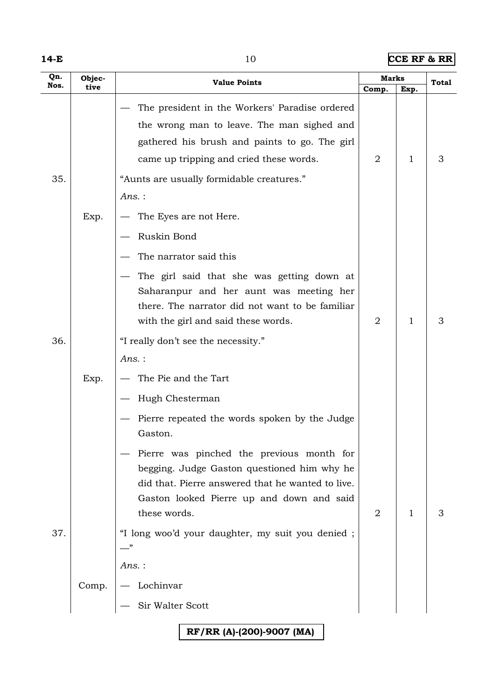|--|--|--|

**10 <b>CCE RF & RR** 

| Comp.<br>Exp.<br>The president in the Workers' Paradise ordered<br>the wrong man to leave. The man sighed and<br>gathered his brush and paints to go. The girl<br>came up tripping and cried these words.<br>2<br>1<br>3<br>35.<br>"Aunts are usually formidable creatures."<br>Ans.:<br>Exp.<br>The Eyes are not Here.<br>Ruskin Bond<br>The narrator said this<br>The girl said that she was getting down at<br>Saharanpur and her aunt was meeting her<br>there. The narrator did not want to be familiar<br>3<br>2<br>1<br>with the girl and said these words.<br>36.<br>"I really don't see the necessity."<br>Ans.:<br>The Pie and the Tart<br>Exp.<br>Hugh Chesterman<br>Pierre repeated the words spoken by the Judge<br>Gaston.<br>Pierre was pinched the previous month for<br>begging. Judge Gaston questioned him why he<br>did that. Pierre answered that he wanted to live.<br>Gaston looked Pierre up and down and said<br>these words.<br>$\mathbf{1}$<br>3<br>2<br>37.<br>"I long woo'd your daughter, my suit you denied;<br>Ans.:<br>Lochinvar<br>Comp.<br>Sir Walter Scott | Qn.  | Objec- | <b>Value Points</b> |  | Marks | <b>Total</b> |  |
|------------------------------------------------------------------------------------------------------------------------------------------------------------------------------------------------------------------------------------------------------------------------------------------------------------------------------------------------------------------------------------------------------------------------------------------------------------------------------------------------------------------------------------------------------------------------------------------------------------------------------------------------------------------------------------------------------------------------------------------------------------------------------------------------------------------------------------------------------------------------------------------------------------------------------------------------------------------------------------------------------------------------------------------------------------------------------------------------|------|--------|---------------------|--|-------|--------------|--|
|                                                                                                                                                                                                                                                                                                                                                                                                                                                                                                                                                                                                                                                                                                                                                                                                                                                                                                                                                                                                                                                                                                | Nos. | tive   |                     |  |       |              |  |
|                                                                                                                                                                                                                                                                                                                                                                                                                                                                                                                                                                                                                                                                                                                                                                                                                                                                                                                                                                                                                                                                                                |      |        |                     |  |       |              |  |
|                                                                                                                                                                                                                                                                                                                                                                                                                                                                                                                                                                                                                                                                                                                                                                                                                                                                                                                                                                                                                                                                                                |      |        |                     |  |       |              |  |
|                                                                                                                                                                                                                                                                                                                                                                                                                                                                                                                                                                                                                                                                                                                                                                                                                                                                                                                                                                                                                                                                                                |      |        |                     |  |       |              |  |
|                                                                                                                                                                                                                                                                                                                                                                                                                                                                                                                                                                                                                                                                                                                                                                                                                                                                                                                                                                                                                                                                                                |      |        |                     |  |       |              |  |
|                                                                                                                                                                                                                                                                                                                                                                                                                                                                                                                                                                                                                                                                                                                                                                                                                                                                                                                                                                                                                                                                                                |      |        |                     |  |       |              |  |
|                                                                                                                                                                                                                                                                                                                                                                                                                                                                                                                                                                                                                                                                                                                                                                                                                                                                                                                                                                                                                                                                                                |      |        |                     |  |       |              |  |
|                                                                                                                                                                                                                                                                                                                                                                                                                                                                                                                                                                                                                                                                                                                                                                                                                                                                                                                                                                                                                                                                                                |      |        |                     |  |       |              |  |
|                                                                                                                                                                                                                                                                                                                                                                                                                                                                                                                                                                                                                                                                                                                                                                                                                                                                                                                                                                                                                                                                                                |      |        |                     |  |       |              |  |
|                                                                                                                                                                                                                                                                                                                                                                                                                                                                                                                                                                                                                                                                                                                                                                                                                                                                                                                                                                                                                                                                                                |      |        |                     |  |       |              |  |
|                                                                                                                                                                                                                                                                                                                                                                                                                                                                                                                                                                                                                                                                                                                                                                                                                                                                                                                                                                                                                                                                                                |      |        |                     |  |       |              |  |
|                                                                                                                                                                                                                                                                                                                                                                                                                                                                                                                                                                                                                                                                                                                                                                                                                                                                                                                                                                                                                                                                                                |      |        |                     |  |       |              |  |
|                                                                                                                                                                                                                                                                                                                                                                                                                                                                                                                                                                                                                                                                                                                                                                                                                                                                                                                                                                                                                                                                                                |      |        |                     |  |       |              |  |
|                                                                                                                                                                                                                                                                                                                                                                                                                                                                                                                                                                                                                                                                                                                                                                                                                                                                                                                                                                                                                                                                                                |      |        |                     |  |       |              |  |
|                                                                                                                                                                                                                                                                                                                                                                                                                                                                                                                                                                                                                                                                                                                                                                                                                                                                                                                                                                                                                                                                                                |      |        |                     |  |       |              |  |
|                                                                                                                                                                                                                                                                                                                                                                                                                                                                                                                                                                                                                                                                                                                                                                                                                                                                                                                                                                                                                                                                                                |      |        |                     |  |       |              |  |
|                                                                                                                                                                                                                                                                                                                                                                                                                                                                                                                                                                                                                                                                                                                                                                                                                                                                                                                                                                                                                                                                                                |      |        |                     |  |       |              |  |
|                                                                                                                                                                                                                                                                                                                                                                                                                                                                                                                                                                                                                                                                                                                                                                                                                                                                                                                                                                                                                                                                                                |      |        |                     |  |       |              |  |
|                                                                                                                                                                                                                                                                                                                                                                                                                                                                                                                                                                                                                                                                                                                                                                                                                                                                                                                                                                                                                                                                                                |      |        |                     |  |       |              |  |
|                                                                                                                                                                                                                                                                                                                                                                                                                                                                                                                                                                                                                                                                                                                                                                                                                                                                                                                                                                                                                                                                                                |      |        |                     |  |       |              |  |
|                                                                                                                                                                                                                                                                                                                                                                                                                                                                                                                                                                                                                                                                                                                                                                                                                                                                                                                                                                                                                                                                                                |      |        |                     |  |       |              |  |

**RF/RR (A)-(200)-9007 (MA)**

 $\overline{\phantom{a}}$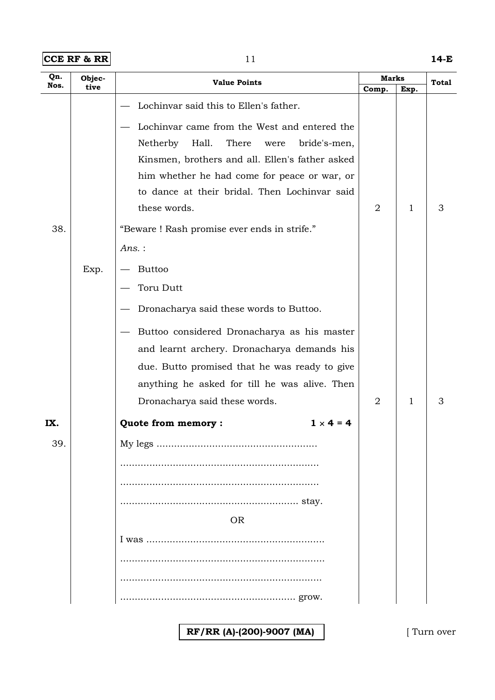**CCE RF & RR** 11 **14-E** 

| Qn.  | Objec- | <b>Value Points</b>                                                                                                                                                                                                                                                                                                                                                                        |       | <b>Marks</b> |       |
|------|--------|--------------------------------------------------------------------------------------------------------------------------------------------------------------------------------------------------------------------------------------------------------------------------------------------------------------------------------------------------------------------------------------------|-------|--------------|-------|
| Nos. | tive   |                                                                                                                                                                                                                                                                                                                                                                                            | Comp. | Exp.         | Total |
| 38.  | Exp.   | Lochinvar said this to Ellen's father.<br>Lochinvar came from the West and entered the<br>Netherby<br>Hall.<br>There<br>bride's-men,<br>were<br>Kinsmen, brothers and all. Ellen's father asked<br>him whether he had come for peace or war, or<br>to dance at their bridal. Then Lochinvar said<br>these words.<br>"Beware ! Rash promise ever ends in strife."<br>Ans.:<br><b>Buttoo</b> | 2     | 1            | 3     |
|      |        | <b>Toru Dutt</b><br>Dronacharya said these words to Buttoo.<br>Buttoo considered Dronacharya as his master<br>and learnt archery. Dronacharya demands his<br>due. Butto promised that he was ready to give<br>anything he asked for till he was alive. Then<br>Dronacharya said these words.                                                                                               | 2     | 1            | 3     |
| IX.  |        | Quote from memory :<br>$1 \times 4 = 4$                                                                                                                                                                                                                                                                                                                                                    |       |              |       |
| 39.  |        | <b>OR</b>                                                                                                                                                                                                                                                                                                                                                                                  |       |              |       |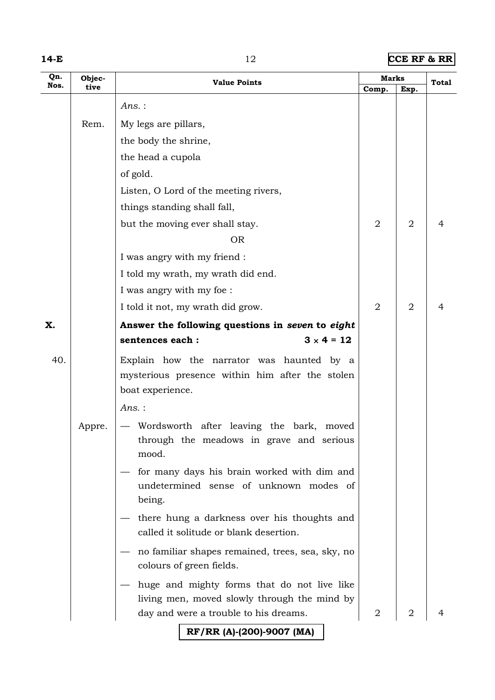|--|--|--|

## **12 CCE RF & RR**

| Qn.  | Objec- | <b>Value Points</b>                                                                         |                | <b>Marks</b>   |       |
|------|--------|---------------------------------------------------------------------------------------------|----------------|----------------|-------|
| Nos. | tive   |                                                                                             | Comp.          | Exp.           | Total |
|      |        | Ans.:                                                                                       |                |                |       |
|      | Rem.   | My legs are pillars,                                                                        |                |                |       |
|      |        | the body the shrine,                                                                        |                |                |       |
|      |        | the head a cupola                                                                           |                |                |       |
|      |        | of gold.                                                                                    |                |                |       |
|      |        | Listen, O Lord of the meeting rivers,                                                       |                |                |       |
|      |        | things standing shall fall,                                                                 |                |                |       |
|      |        | but the moving ever shall stay.                                                             | $\overline{2}$ | $\overline{2}$ | 4     |
|      |        | <b>OR</b>                                                                                   |                |                |       |
|      |        | I was angry with my friend :                                                                |                |                |       |
|      |        | I told my wrath, my wrath did end.                                                          |                |                |       |
|      |        | I was angry with my foe :                                                                   |                |                |       |
|      |        | I told it not, my wrath did grow.                                                           | $\overline{2}$ | 2              | 4     |
| X.   |        | Answer the following questions in seven to eight                                            |                |                |       |
|      |        | $3 \times 4 = 12$<br>sentences each :                                                       |                |                |       |
| 40.  |        | Explain how the narrator was haunted by a                                                   |                |                |       |
|      |        | mysterious presence within him after the stolen                                             |                |                |       |
|      |        | boat experience.                                                                            |                |                |       |
|      |        | Ans.:                                                                                       |                |                |       |
|      | Appre. | Wordsworth after leaving the bark, moved                                                    |                |                |       |
|      |        | through the meadows in grave and serious<br>mood.                                           |                |                |       |
|      |        | for many days his brain worked with dim and                                                 |                |                |       |
|      |        | undetermined sense of unknown modes of                                                      |                |                |       |
|      |        | being.                                                                                      |                |                |       |
|      |        | there hung a darkness over his thoughts and<br>called it solitude or blank desertion.       |                |                |       |
|      |        | no familiar shapes remained, trees, sea, sky, no<br>colours of green fields.                |                |                |       |
|      |        |                                                                                             |                |                |       |
|      |        | huge and mighty forms that do not live like<br>living men, moved slowly through the mind by |                |                |       |
|      |        | day and were a trouble to his dreams.                                                       | $\overline{2}$ | 2              |       |
|      |        | RF/RR (A)-(200)-9007 (MA)                                                                   |                |                |       |
|      |        |                                                                                             |                |                |       |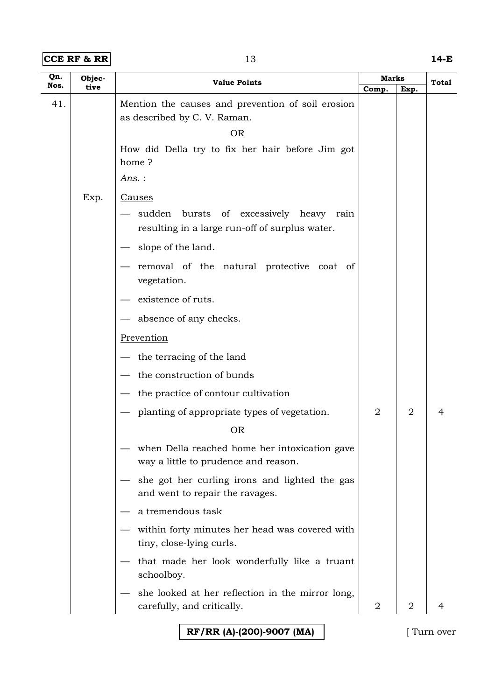#### **CCE RF & RR** 13 **14-E**

| Qn.  | Objec- | <b>Value Points</b>                                                                          | <b>Marks</b>   |                | Total |
|------|--------|----------------------------------------------------------------------------------------------|----------------|----------------|-------|
| Nos. | tive   |                                                                                              | Comp.          | Exp.           |       |
| 41.  |        | Mention the causes and prevention of soil erosion                                            |                |                |       |
|      |        | as described by C. V. Raman.                                                                 |                |                |       |
|      |        | <b>OR</b>                                                                                    |                |                |       |
|      |        | How did Della try to fix her hair before Jim got<br>home?                                    |                |                |       |
|      |        | Ans.:                                                                                        |                |                |       |
|      | Exp.   | <u>Causes</u>                                                                                |                |                |       |
|      |        | sudden<br>bursts of excessively heavy rain<br>resulting in a large run-off of surplus water. |                |                |       |
|      |        | slope of the land.                                                                           |                |                |       |
|      |        | removal of the natural protective coat of<br>vegetation.                                     |                |                |       |
|      |        | existence of ruts.                                                                           |                |                |       |
|      |        | - absence of any checks.                                                                     |                |                |       |
|      |        | Prevention                                                                                   |                |                |       |
|      |        | $-$ the terracing of the land                                                                |                |                |       |
|      |        | the construction of bunds                                                                    |                |                |       |
|      |        | the practice of contour cultivation                                                          |                |                |       |
|      |        | planting of appropriate types of vegetation.                                                 | 2              | $\overline{2}$ | 4     |
|      |        | <b>OR</b>                                                                                    |                |                |       |
|      |        | when Della reached home her intoxication gave<br>way a little to prudence and reason.        |                |                |       |
|      |        | she got her curling irons and lighted the gas<br>and went to repair the ravages.             |                |                |       |
|      |        | a tremendous task                                                                            |                |                |       |
|      |        | within forty minutes her head was covered with<br>tiny, close-lying curls.                   |                |                |       |
|      |        | that made her look wonderfully like a truant<br>schoolboy.                                   |                |                |       |
|      |        | she looked at her reflection in the mirror long,<br>carefully, and critically.               | $\overline{2}$ | 2              |       |
|      |        |                                                                                              |                |                |       |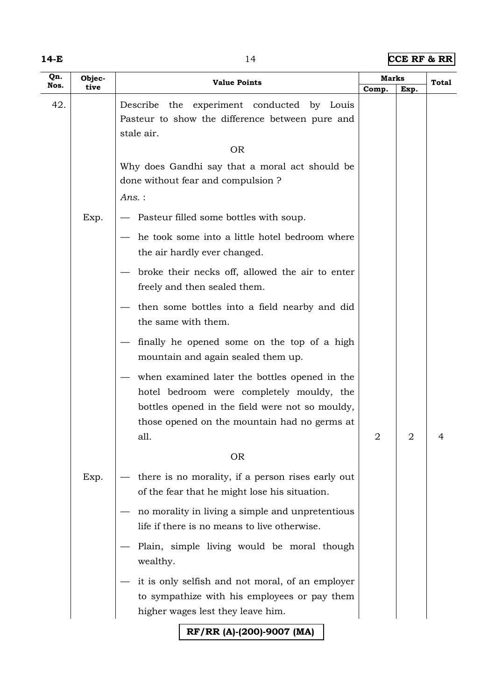|--|--|--|

**14 CCE RF & RR** 

| Qn.<br>Nos. | Objec-<br>tive | <b>Value Points</b>                                                                                                                                                                                   | Marks |                | Total |
|-------------|----------------|-------------------------------------------------------------------------------------------------------------------------------------------------------------------------------------------------------|-------|----------------|-------|
| 42.         |                | the experiment conducted by Louis<br>Describe<br>Pasteur to show the difference between pure and<br>stale air.                                                                                        | Comp. | Exp.           |       |
|             |                | <b>OR</b>                                                                                                                                                                                             |       |                |       |
|             |                | Why does Gandhi say that a moral act should be<br>done without fear and compulsion?                                                                                                                   |       |                |       |
|             |                | Ans.:                                                                                                                                                                                                 |       |                |       |
|             | Exp.           | Pasteur filled some bottles with soup.                                                                                                                                                                |       |                |       |
|             |                | he took some into a little hotel bedroom where<br>the air hardly ever changed.                                                                                                                        |       |                |       |
|             |                | broke their necks off, allowed the air to enter<br>freely and then sealed them.                                                                                                                       |       |                |       |
|             |                | then some bottles into a field nearby and did<br>the same with them.                                                                                                                                  |       |                |       |
|             |                | finally he opened some on the top of a high<br>mountain and again sealed them up.                                                                                                                     |       |                |       |
|             |                | when examined later the bottles opened in the<br>hotel bedroom were completely mouldy, the<br>bottles opened in the field were not so mouldy,<br>those opened on the mountain had no germs at<br>all. | 2     | $\overline{2}$ | 4     |
|             |                | <b>OR</b>                                                                                                                                                                                             |       |                |       |
|             | Exp.           | there is no morality, if a person rises early out<br>of the fear that he might lose his situation.                                                                                                    |       |                |       |
|             |                | no morality in living a simple and unpretentious<br>life if there is no means to live otherwise.                                                                                                      |       |                |       |
|             |                | Plain, simple living would be moral though<br>wealthy.                                                                                                                                                |       |                |       |
|             |                | it is only selfish and not moral, of an employer<br>to sympathize with his employees or pay them<br>higher wages lest they leave him.                                                                 |       |                |       |
|             |                | RF/RR (A)-(200)-9007 (MA)                                                                                                                                                                             |       |                |       |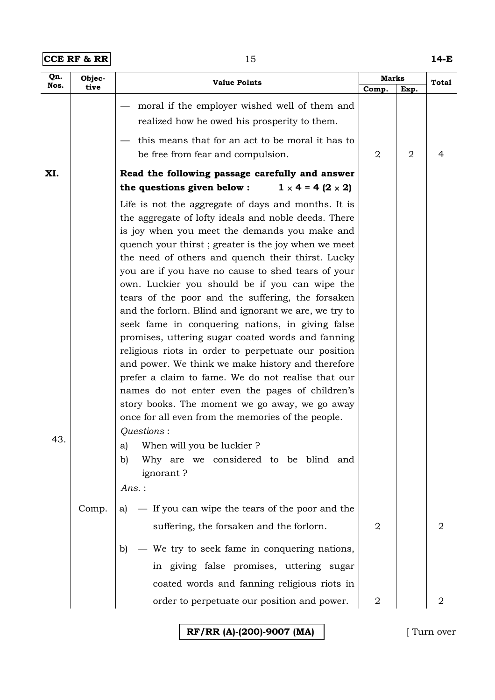| $ CCE$ RF & RR $ $ | 14-E |
|--------------------|------|
|--------------------|------|

| Qn.  | Objec- | <b>Value Points</b>                                                                                                                                                                                                                                                                                                                                                                                                                                                                                                                                                                                                                                                                                                                                                                                                                                                            | <b>Marks</b>   |                | <b>Total</b> |
|------|--------|--------------------------------------------------------------------------------------------------------------------------------------------------------------------------------------------------------------------------------------------------------------------------------------------------------------------------------------------------------------------------------------------------------------------------------------------------------------------------------------------------------------------------------------------------------------------------------------------------------------------------------------------------------------------------------------------------------------------------------------------------------------------------------------------------------------------------------------------------------------------------------|----------------|----------------|--------------|
| Nos. | tive   |                                                                                                                                                                                                                                                                                                                                                                                                                                                                                                                                                                                                                                                                                                                                                                                                                                                                                | Comp.          | Exp.           |              |
|      |        | moral if the employer wished well of them and<br>realized how he owed his prosperity to them.                                                                                                                                                                                                                                                                                                                                                                                                                                                                                                                                                                                                                                                                                                                                                                                  |                |                |              |
|      |        | this means that for an act to be moral it has to                                                                                                                                                                                                                                                                                                                                                                                                                                                                                                                                                                                                                                                                                                                                                                                                                               |                |                |              |
|      |        | be free from fear and compulsion.                                                                                                                                                                                                                                                                                                                                                                                                                                                                                                                                                                                                                                                                                                                                                                                                                                              | $\overline{2}$ | $\overline{2}$ | 4            |
| XI.  |        | Read the following passage carefully and answer<br>$1 \times 4 = 4 (2 \times 2)$<br>the questions given below :                                                                                                                                                                                                                                                                                                                                                                                                                                                                                                                                                                                                                                                                                                                                                                |                |                |              |
|      |        |                                                                                                                                                                                                                                                                                                                                                                                                                                                                                                                                                                                                                                                                                                                                                                                                                                                                                |                |                |              |
|      |        | Life is not the aggregate of days and months. It is<br>the aggregate of lofty ideals and noble deeds. There<br>is joy when you meet the demands you make and<br>quench your thirst; greater is the joy when we meet<br>the need of others and quench their thirst. Lucky<br>you are if you have no cause to shed tears of your<br>own. Luckier you should be if you can wipe the<br>tears of the poor and the suffering, the forsaken<br>and the forlorn. Blind and ignorant we are, we try to<br>seek fame in conquering nations, in giving false<br>promises, uttering sugar coated words and fanning<br>religious riots in order to perpetuate our position<br>and power. We think we make history and therefore<br>prefer a claim to fame. We do not realise that our<br>names do not enter even the pages of children's<br>story books. The moment we go away, we go away |                |                |              |
| 43.  | Comp.  | once for all even from the memories of the people.<br>Questions:<br>When will you be luckier?<br>a)<br>Why are we considered to be blind and<br>b)<br>ignorant?<br>Ans.:<br>- If you can wipe the tears of the poor and the<br>al                                                                                                                                                                                                                                                                                                                                                                                                                                                                                                                                                                                                                                              |                |                |              |
|      |        | suffering, the forsaken and the forlorn.                                                                                                                                                                                                                                                                                                                                                                                                                                                                                                                                                                                                                                                                                                                                                                                                                                       | 2              |                | 2            |
|      |        | - We try to seek fame in conquering nations,<br>b)<br>in giving false promises, uttering sugar<br>coated words and fanning religious riots in                                                                                                                                                                                                                                                                                                                                                                                                                                                                                                                                                                                                                                                                                                                                  |                |                |              |
|      |        | order to perpetuate our position and power.                                                                                                                                                                                                                                                                                                                                                                                                                                                                                                                                                                                                                                                                                                                                                                                                                                    | 2              |                | 2            |